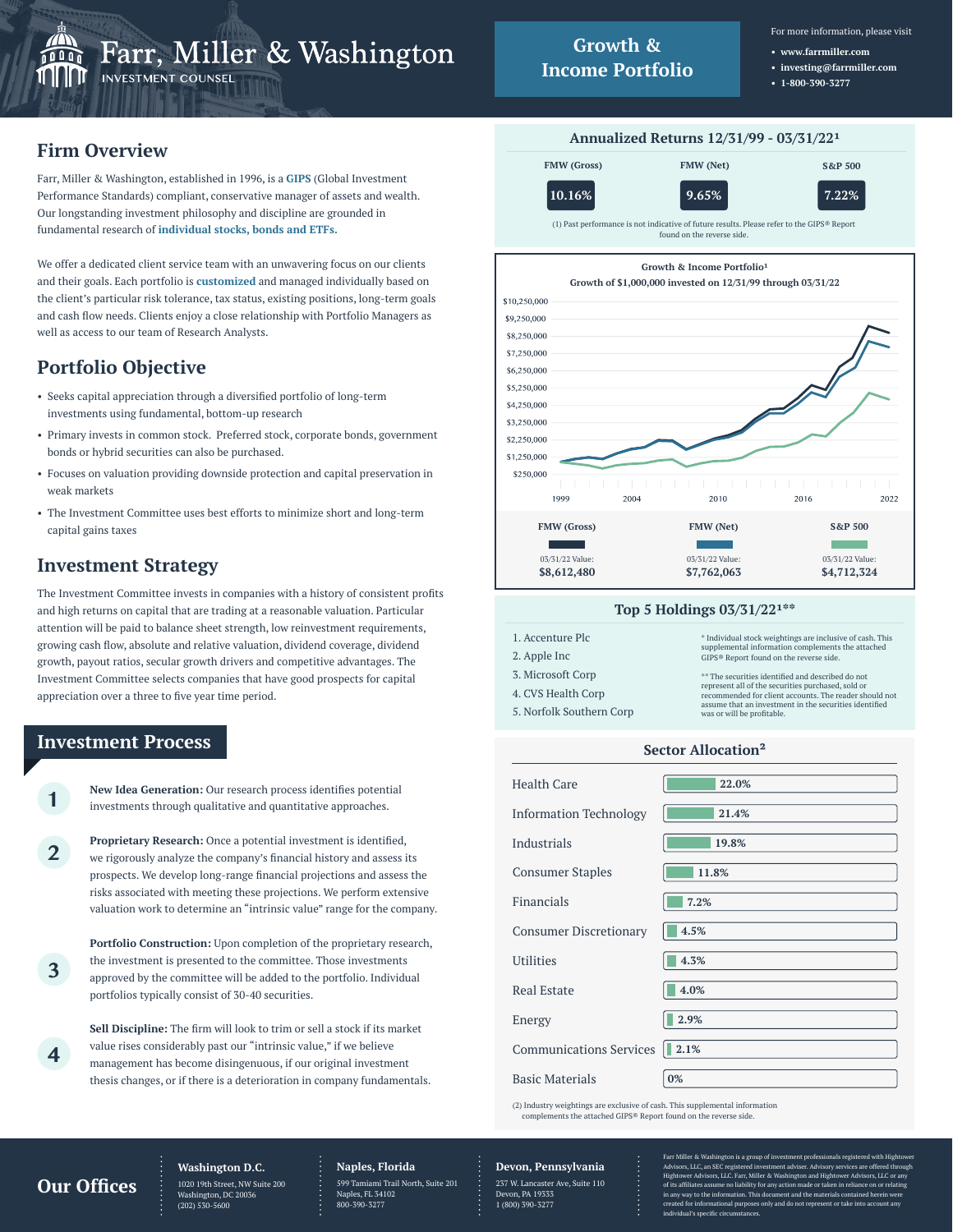

- **www.farrmiller.com • investing@farrmiller.com**
- **1-800-390-3277**

# **Firm Overview**

Farr, Miller & Washington, established in 1996, is a **GIPS** (Global Investment Performance Standards) compliant, conservative manager of assets and wealth. Our longstanding investment philosophy and discipline are grounded in fundamental research of **individual stocks, bonds and ETFs.**

We offer a dedicated client service team with an unwavering focus on our clients and their goals. Each portfolio is **customized** and managed individually based on the client's particular risk tolerance, tax status, existing positions, long-term goals and cash flow needs. Clients enjoy a close relationship with Portfolio Managers as well as access to our team of Research Analysts.

# **Portfolio Objective**

- Seeks capital appreciation through a diversified portfolio of long-term investments using fundamental, bottom-up research
- Primary invests in common stock. Preferred stock, corporate bonds, government bonds or hybrid securities can also be purchased.
- Focuses on valuation providing downside protection and capital preservation in weak markets
- The Investment Committee uses best efforts to minimize short and long-term capital gains taxes

## **Investment Strategy**

The Investment Committee invests in companies with a history of consistent profits and high returns on capital that are trading at a reasonable valuation. Particular attention will be paid to balance sheet strength, low reinvestment requirements, growing cash flow, absolute and relative valuation, dividend coverage, dividend growth, payout ratios, secular growth drivers and competitive advantages. The Investment Committee selects companies that have good prospects for capital appreciation over a three to five year time period.

### **Investment Process**

**1**

**2**

**3**

**4**

**New Idea Generation:** Our research process identifies potential investments through qualitative and quantitative approaches.

**Proprietary Research:** Once a potential investment is identified, we rigorously analyze the company's financial history and assess its prospects. We develop long-range financial projections and assess the risks associated with meeting these projections. We perform extensive valuation work to determine an "intrinsic value" range for the company.

**Portfolio Construction:** Upon completion of the proprietary research, the investment is presented to the committee. Those investments approved by the committee will be added to the portfolio. Individual portfolios typically consist of 30-40 securities.

**Sell Discipline:** The firm will look to trim or sell a stock if its market value rises considerably past our "intrinsic value," if we believe management has become disingenuous, if our original investment thesis changes, or if there is a deterioration in company fundamentals.





### **Top 5 Holdings 03/31/22\*\***

| 1. Accenture Plc         | * Individual stock weightings are inclusive of cash. This<br>supplemental information complements the attached |
|--------------------------|----------------------------------------------------------------------------------------------------------------|
| 2. Apple Inc             | GIPS® Report found on the reverse side.                                                                        |
| 3. Microsoft Corp        | ** The securities identified and described do not                                                              |
| 4. CVS Health Corp       | represent all of the securities purchased, sold or<br>recommended for client accounts. The reader should not   |
| 5. Norfolk Southern Corp | assume that an investment in the securities identified<br>was or will be profitable.                           |
|                          |                                                                                                                |

#### **Sector Allocation²**

| Health Care                    | 22.0% |
|--------------------------------|-------|
| <b>Information Technology</b>  | 21.4% |
| Industrials                    | 19.8% |
| <b>Consumer Staples</b>        | 11.8% |
| Financials                     | 7.2%  |
| <b>Consumer Discretionary</b>  | 4.5%  |
| <b>Utilities</b>               | 4.3%  |
| Real Estate                    | 4.0%  |
| Energy                         | 2.9%  |
| <b>Communications Services</b> | 12.1% |
| <b>Basic Materials</b>         | 0%    |

(2) Industry weightings are exclusive of cash. This supplemental information complements the attached GIPS® Report found on the reverse side.

### **Our Offices**

**Washington D.C.** 1020 19th Street, NW Suite 200 gton, DC 20036

(202) 530-5600

#### **Naples, Florida** 599 Tamiami Trail North, Suite 201 Naples, FL 34102 800-390-3277

**Devon, Pennsylvania** 237 W. Lancaster Ave, Suite 110

Devon, PA 19333 1 (800) 390-3277 av to the information. This do

Farr Miller & Washington is a group of investment professionals registered with Hightower<br>Advisors, LLC, an SEC registered investment adviser. Advisory services are offered through<br>Hightower Advisors, LLC. Farr, Miller & W of its affiliates assume no liability for any action made or taken in reliance on or  $\mathbf i$  in any way to the information. This document and the materials contained herein ted for informational purposes only and do not repre individual's specific circumstances.